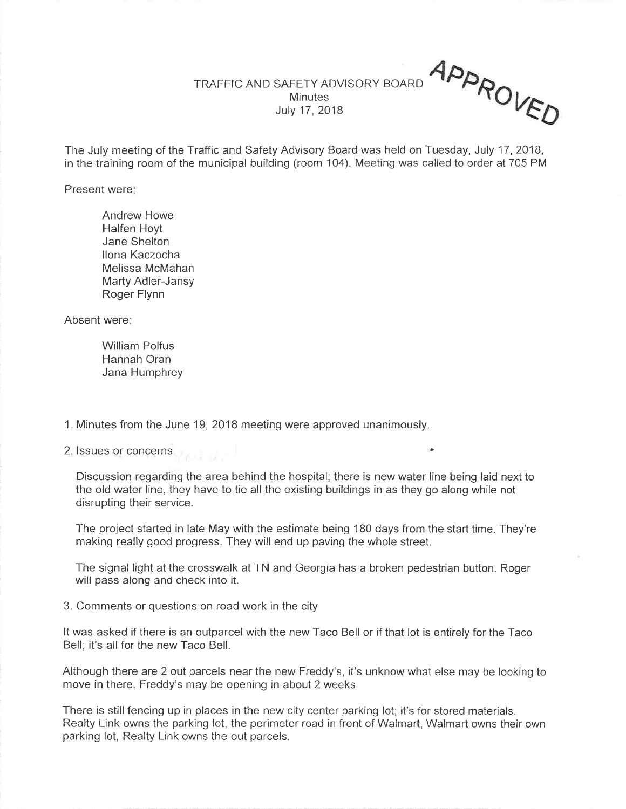## App<sub>o</sub> TRAFFIC AND SAFETY ADVISORY BOARD**Minutes** July <sup>17</sup>, 2018

 $U_{\sqrt{K}}$ 

The July meeting of the Traffic and Safety Advisory Board was held on Tuesday, July 17,2018,in the training room of the municipal building (room 104). Meeting was called to order at 705 PM

Present were

Andrew HoweHalfen Hoyt Jane Sheltonlona Kaczocha Melissa McMahan Marty Adler-JansyRoger Flynn

Absent were

William Polfus Hannah OranJana Humphrey

<sup>1</sup>. Minutes from the June 19, 2018 meeting were approved unanimously.

2. lssues or concerns '

Discussion regarding the area behind the hospital; there is new water line being laid next tothe old water line, they have to tie all the existing buildings in as they go along whíle notdisrupting their service.

The project started in late May with the estimate being 180 days from the start time. They're making really good progress. They wíll end up paving the whole street.

The signal light at the crosswalk at TN and Georgia has a broken pedestrian button. Rogerwill pass along and check into it.

3. Comments or questions on road work in the city

It was asked if there is an outparcel with the new Taco Bell or if that lot is entirely for the TacoBell; it's all for the new Taco Bell.

Although there are 2 out parcels near the new Freddy's, it's unknow what else may be looking tomove in there. Freddy's may be opening in about 2 weeks

There is still fencing up in places in the new city center parking lot; it's for stored materials. Realty Link owns the parking lot, the perimeter road in front of Walmart, Walmart owns their ownparking lot, Realty Link owns the out parcels.